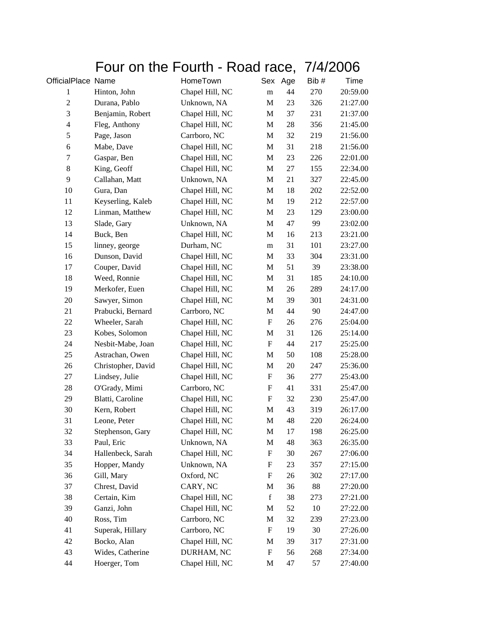## Four on the Fourth - Road race, 7/4/2006

| OfficialPlace Name |                    | HomeTown        | Sex                       | Age | Bib# | Time     |
|--------------------|--------------------|-----------------|---------------------------|-----|------|----------|
| $\mathbf{1}$       | Hinton, John       | Chapel Hill, NC | ${\bf m}$                 | 44  | 270  | 20:59.00 |
| $\mathfrak{2}$     | Durana, Pablo      | Unknown, NA     | M                         | 23  | 326  | 21:27.00 |
| $\mathfrak{Z}$     | Benjamin, Robert   | Chapel Hill, NC | M                         | 37  | 231  | 21:37.00 |
| $\overline{4}$     | Fleg, Anthony      | Chapel Hill, NC | M                         | 28  | 356  | 21:45.00 |
| $\sqrt{5}$         | Page, Jason        | Carrboro, NC    | M                         | 32  | 219  | 21:56.00 |
| $\sqrt{6}$         | Mabe, Dave         | Chapel Hill, NC | M                         | 31  | 218  | 21:56.00 |
| $\tau$             | Gaspar, Ben        | Chapel Hill, NC | M                         | 23  | 226  | 22:01.00 |
| $\,8\,$            | King, Geoff        | Chapel Hill, NC | M                         | 27  | 155  | 22:34.00 |
| 9                  | Callahan, Matt     | Unknown, NA     | M                         | 21  | 327  | 22:45.00 |
| 10                 | Gura, Dan          | Chapel Hill, NC | M                         | 18  | 202  | 22:52.00 |
| 11                 | Keyserling, Kaleb  | Chapel Hill, NC | M                         | 19  | 212  | 22:57.00 |
| 12                 | Linman, Matthew    | Chapel Hill, NC | M                         | 23  | 129  | 23:00.00 |
| 13                 | Slade, Gary        | Unknown, NA     | M                         | 47  | 99   | 23:02.00 |
| 14                 | Buck, Ben          | Chapel Hill, NC | M                         | 16  | 213  | 23:21.00 |
| 15                 | linney, george     | Durham, NC      | m                         | 31  | 101  | 23:27.00 |
| 16                 | Dunson, David      | Chapel Hill, NC | M                         | 33  | 304  | 23:31.00 |
| 17                 | Couper, David      | Chapel Hill, NC | M                         | 51  | 39   | 23:38.00 |
| 18                 | Weed, Ronnie       | Chapel Hill, NC | M                         | 31  | 185  | 24:10.00 |
| 19                 | Merkofer, Euen     | Chapel Hill, NC | M                         | 26  | 289  | 24:17.00 |
| 20                 | Sawyer, Simon      | Chapel Hill, NC | M                         | 39  | 301  | 24:31.00 |
| 21                 | Prabucki, Bernard  | Carrboro, NC    | M                         | 44  | 90   | 24:47.00 |
| 22                 | Wheeler, Sarah     | Chapel Hill, NC | $\boldsymbol{\mathrm{F}}$ | 26  | 276  | 25:04.00 |
| 23                 | Kobes, Solomon     | Chapel Hill, NC | M                         | 31  | 126  | 25:14.00 |
| 24                 | Nesbit-Mabe, Joan  | Chapel Hill, NC | $\boldsymbol{\mathrm{F}}$ | 44  | 217  | 25:25.00 |
| 25                 | Astrachan, Owen    | Chapel Hill, NC | M                         | 50  | 108  | 25:28.00 |
| 26                 | Christopher, David | Chapel Hill, NC | M                         | 20  | 247  | 25:36.00 |
| $27\,$             | Lindsey, Julie     | Chapel Hill, NC | F                         | 36  | 277  | 25:43.00 |
| 28                 | O'Grady, Mimi      | Carrboro, NC    | F                         | 41  | 331  | 25:47.00 |
| 29                 | Blatti, Caroline   | Chapel Hill, NC | $\boldsymbol{\mathrm{F}}$ | 32  | 230  | 25:47.00 |
| 30                 | Kern, Robert       | Chapel Hill, NC | M                         | 43  | 319  | 26:17.00 |
| 31                 | Leone, Peter       | Chapel Hill, NC | M                         | 48  | 220  | 26:24.00 |
| 32                 | Stephenson, Gary   | Chapel Hill, NC | M                         | 17  | 198  | 26:25.00 |
| 33                 | Paul, Eric         | Unknown, NA     | M                         | 48  | 363  | 26:35.00 |
| 34                 | Hallenbeck, Sarah  | Chapel Hill, NC | F                         | 30  | 267  | 27:06.00 |
| 35                 | Hopper, Mandy      | Unknown, NA     | F                         | 23  | 357  | 27:15.00 |
| 36                 | Gill, Mary         | Oxford, NC      | F                         | 26  | 302  | 27:17.00 |
| 37                 | Chrest, David      | CARY, NC        | M                         | 36  | 88   | 27:20.00 |
| 38                 | Certain, Kim       | Chapel Hill, NC | $\mathbf f$               | 38  | 273  | 27:21.00 |
| 39                 | Ganzi, John        | Chapel Hill, NC | M                         | 52  | 10   | 27:22.00 |
| 40                 | Ross, Tim          | Carrboro, NC    | M                         | 32  | 239  | 27:23.00 |
| 41                 | Superak, Hillary   | Carrboro, NC    | F                         | 19  | 30   | 27:26.00 |
| 42                 | Bocko, Alan        | Chapel Hill, NC | M                         | 39  | 317  | 27:31.00 |
| 43                 | Wides, Catherine   | DURHAM, NC      | F                         | 56  | 268  | 27:34.00 |
| 44                 | Hoerger, Tom       | Chapel Hill, NC | M                         | 47  | 57   | 27:40.00 |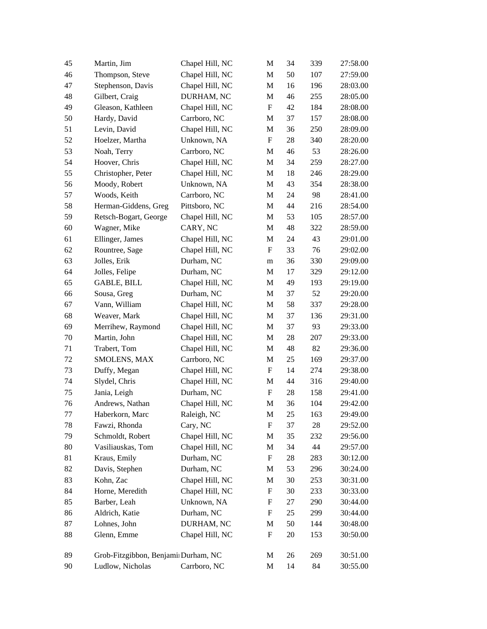| 45      | Martin, Jim                         | Chapel Hill, NC | M                         | 34 | 339 | 27:58.00 |
|---------|-------------------------------------|-----------------|---------------------------|----|-----|----------|
| 46      | Thompson, Steve                     | Chapel Hill, NC | M                         | 50 | 107 | 27:59.00 |
| 47      | Stephenson, Davis                   | Chapel Hill, NC | M                         | 16 | 196 | 28:03.00 |
| 48      | Gilbert, Craig                      | DURHAM, NC      | M                         | 46 | 255 | 28:05.00 |
| 49      | Gleason, Kathleen                   | Chapel Hill, NC | $\mathbf F$               | 42 | 184 | 28:08.00 |
| 50      | Hardy, David                        | Carrboro, NC    | M                         | 37 | 157 | 28:08.00 |
| 51      | Levin, David                        | Chapel Hill, NC | M                         | 36 | 250 | 28:09.00 |
| 52      | Hoelzer, Martha                     | Unknown, NA     | F                         | 28 | 340 | 28:20.00 |
| 53      | Noah, Terry                         | Carrboro, NC    | M                         | 46 | 53  | 28:26.00 |
| 54      | Hoover, Chris                       | Chapel Hill, NC | M                         | 34 | 259 | 28:27.00 |
| 55      | Christopher, Peter                  | Chapel Hill, NC | M                         | 18 | 246 | 28:29.00 |
| 56      | Moody, Robert                       | Unknown, NA     | M                         | 43 | 354 | 28:38.00 |
| 57      | Woods, Keith                        | Carrboro, NC    | M                         | 24 | 98  | 28:41.00 |
| 58      | Herman-Giddens, Greg                | Pittsboro, NC   | M                         | 44 | 216 | 28:54.00 |
| 59      | Retsch-Bogart, George               | Chapel Hill, NC | M                         | 53 | 105 | 28:57.00 |
| 60      | Wagner, Mike                        | CARY, NC        | M                         | 48 | 322 | 28:59.00 |
| 61      | Ellinger, James                     | Chapel Hill, NC | M                         | 24 | 43  | 29:01.00 |
| 62      | Rountree, Sage                      | Chapel Hill, NC | $\boldsymbol{F}$          | 33 | 76  | 29:02.00 |
| 63      | Jolles, Erik                        | Durham, NC      | m                         | 36 | 330 | 29:09.00 |
| 64      | Jolles, Felipe                      | Durham, NC      | M                         | 17 | 329 | 29:12.00 |
| 65      | <b>GABLE, BILL</b>                  | Chapel Hill, NC | M                         | 49 | 193 | 29:19.00 |
| 66      | Sousa, Greg                         | Durham, NC      | M                         | 37 | 52  | 29:20.00 |
| 67      | Vann, William                       | Chapel Hill, NC | M                         | 58 | 337 | 29:28.00 |
| 68      | Weaver, Mark                        | Chapel Hill, NC | M                         | 37 | 136 | 29:31.00 |
| 69      | Merrihew, Raymond                   | Chapel Hill, NC | M                         | 37 | 93  | 29:33.00 |
| 70      | Martin, John                        | Chapel Hill, NC | M                         | 28 | 207 | 29:33.00 |
| 71      | Trabert, Tom                        | Chapel Hill, NC | M                         | 48 | 82  | 29:36.00 |
| 72      | SMOLENS, MAX                        | Carrboro, NC    | M                         | 25 | 169 | 29:37.00 |
| 73      | Duffy, Megan                        | Chapel Hill, NC | F                         | 14 | 274 | 29:38.00 |
| 74      | Slydel, Chris                       | Chapel Hill, NC | M                         | 44 | 316 | 29:40.00 |
| 75      | Jania, Leigh                        | Durham, NC      | F                         | 28 | 158 | 29:41.00 |
| 76      | Andrews, Nathan                     | Chapel Hill, NC | M                         | 36 | 104 | 29:42.00 |
| $77 \,$ | Haberkorn, Marc                     | Raleigh, NC     | M                         | 25 | 163 | 29:49.00 |
| 78      | Fawzi, Rhonda                       | Cary, NC        | F                         | 37 | 28  | 29:52.00 |
| 79      | Schmoldt, Robert                    | Chapel Hill, NC | M                         | 35 | 232 | 29:56.00 |
| 80      | Vasiliauskas, Tom                   | Chapel Hill, NC | M                         | 34 | 44  | 29:57.00 |
| 81      | Kraus, Emily                        | Durham, NC      | $\boldsymbol{F}$          | 28 | 283 | 30:12.00 |
| 82      | Davis, Stephen                      | Durham, NC      | M                         | 53 | 296 | 30:24.00 |
| 83      | Kohn, Zac                           | Chapel Hill, NC | M                         | 30 | 253 | 30:31.00 |
| 84      | Horne, Meredith                     | Chapel Hill, NC | F                         | 30 | 233 | 30:33.00 |
| 85      | Barber, Leah                        | Unknown, NA     | F                         | 27 | 290 | 30:44.00 |
| 86      | Aldrich, Katie                      | Durham, NC      | F                         | 25 | 299 | 30:44.00 |
| 87      | Lohnes, John                        | DURHAM, NC      | M                         | 50 | 144 | 30:48.00 |
| 88      | Glenn, Emme                         | Chapel Hill, NC | $\boldsymbol{\mathrm{F}}$ | 20 | 153 | 30:50.00 |
| 89      | Grob-Fitzgibbon, Benjami Durham, NC |                 | M                         | 26 | 269 | 30:51.00 |
| 90      | Ludlow, Nicholas                    | Carrboro, NC    | M                         | 14 | 84  | 30:55.00 |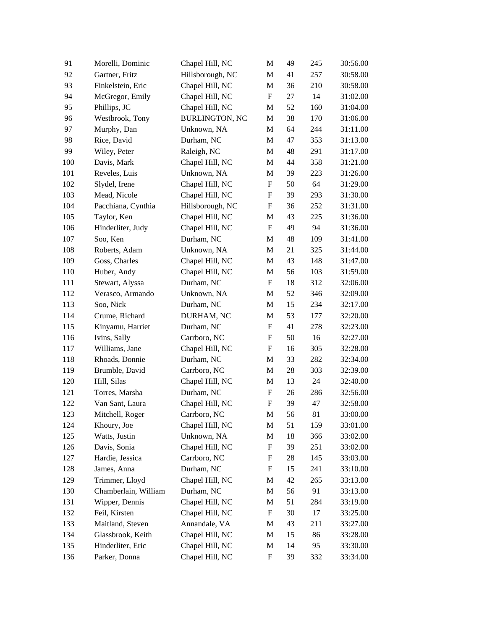| 91  | Morelli, Dominic     | Chapel Hill, NC       | M                         | 49 | 245 | 30:56.00 |
|-----|----------------------|-----------------------|---------------------------|----|-----|----------|
| 92  | Gartner, Fritz       | Hillsborough, NC      | M                         | 41 | 257 | 30:58.00 |
| 93  | Finkelstein, Eric    | Chapel Hill, NC       | M                         | 36 | 210 | 30:58.00 |
| 94  | McGregor, Emily      | Chapel Hill, NC       | $\boldsymbol{\mathrm{F}}$ | 27 | 14  | 31:02.00 |
| 95  | Phillips, JC         | Chapel Hill, NC       | M                         | 52 | 160 | 31:04.00 |
| 96  | Westbrook, Tony      | <b>BURLINGTON, NC</b> | M                         | 38 | 170 | 31:06.00 |
| 97  | Murphy, Dan          | Unknown, NA           | M                         | 64 | 244 | 31:11.00 |
| 98  | Rice, David          | Durham, NC            | M                         | 47 | 353 | 31:13.00 |
| 99  | Wiley, Peter         | Raleigh, NC           | M                         | 48 | 291 | 31:17.00 |
| 100 | Davis, Mark          | Chapel Hill, NC       | M                         | 44 | 358 | 31:21.00 |
| 101 | Reveles, Luis        | Unknown, NA           | M                         | 39 | 223 | 31:26.00 |
| 102 | Slydel, Irene        | Chapel Hill, NC       | F                         | 50 | 64  | 31:29.00 |
| 103 | Mead, Nicole         | Chapel Hill, NC       | F                         | 39 | 293 | 31:30.00 |
| 104 | Pacchiana, Cynthia   | Hillsborough, NC      | F                         | 36 | 252 | 31:31.00 |
| 105 | Taylor, Ken          | Chapel Hill, NC       | M                         | 43 | 225 | 31:36.00 |
| 106 | Hinderliter, Judy    | Chapel Hill, NC       | F                         | 49 | 94  | 31:36.00 |
| 107 | Soo, Ken             | Durham, NC            | M                         | 48 | 109 | 31:41.00 |
| 108 | Roberts, Adam        | Unknown, NA           | M                         | 21 | 325 | 31:44.00 |
| 109 | Goss, Charles        | Chapel Hill, NC       | M                         | 43 | 148 | 31:47.00 |
| 110 | Huber, Andy          | Chapel Hill, NC       | M                         | 56 | 103 | 31:59.00 |
| 111 | Stewart, Alyssa      | Durham, NC            | F                         | 18 | 312 | 32:06.00 |
| 112 | Verasco, Armando     | Unknown, NA           | M                         | 52 | 346 | 32:09.00 |
| 113 | Soo, Nick            | Durham, NC            | M                         | 15 | 234 | 32:17.00 |
| 114 | Crume, Richard       | DURHAM, NC            | M                         | 53 | 177 | 32:20.00 |
| 115 | Kinyamu, Harriet     | Durham, NC            | F                         | 41 | 278 | 32:23.00 |
| 116 | Ivins, Sally         | Carrboro, NC          | F                         | 50 | 16  | 32:27.00 |
| 117 | Williams, Jane       | Chapel Hill, NC       | $\boldsymbol{\mathrm{F}}$ | 16 | 305 | 32:28.00 |
| 118 | Rhoads, Donnie       | Durham, NC            | M                         | 33 | 282 | 32:34.00 |
| 119 | Brumble, David       | Carrboro, NC          | M                         | 28 | 303 | 32:39.00 |
| 120 | Hill, Silas          | Chapel Hill, NC       | M                         | 13 | 24  | 32:40.00 |
| 121 | Torres, Marsha       | Durham, NC            | $\boldsymbol{\mathrm{F}}$ | 26 | 286 | 32:56.00 |
| 122 | Van Sant, Laura      | Chapel Hill, NC       | $\boldsymbol{\mathrm{F}}$ | 39 | 47  | 32:58.00 |
| 123 | Mitchell, Roger      | Carrboro, NC          | M                         | 56 | 81  | 33:00.00 |
| 124 | Khoury, Joe          | Chapel Hill, NC       | M                         | 51 | 159 | 33:01.00 |
| 125 | Watts, Justin        | Unknown, NA           | M                         | 18 | 366 | 33:02.00 |
| 126 | Davis, Sonia         | Chapel Hill, NC       | F                         | 39 | 251 | 33:02.00 |
| 127 | Hardie, Jessica      | Carrboro, NC          | F                         | 28 | 145 | 33:03.00 |
| 128 | James, Anna          | Durham, NC            | F                         | 15 | 241 | 33:10.00 |
| 129 | Trimmer, Lloyd       | Chapel Hill, NC       | M                         | 42 | 265 | 33:13.00 |
| 130 | Chamberlain, William | Durham, NC            | M                         | 56 | 91  | 33:13.00 |
| 131 | Wipper, Dennis       | Chapel Hill, NC       | M                         | 51 | 284 | 33:19.00 |
| 132 | Feil, Kirsten        | Chapel Hill, NC       | F                         | 30 | 17  | 33:25.00 |
| 133 | Maitland, Steven     | Annandale, VA         | M                         | 43 | 211 | 33:27.00 |
| 134 | Glassbrook, Keith    | Chapel Hill, NC       | M                         | 15 | 86  | 33:28.00 |
| 135 | Hinderliter, Eric    | Chapel Hill, NC       | M                         | 14 | 95  | 33:30.00 |
| 136 | Parker, Donna        | Chapel Hill, NC       | F                         | 39 | 332 | 33:34.00 |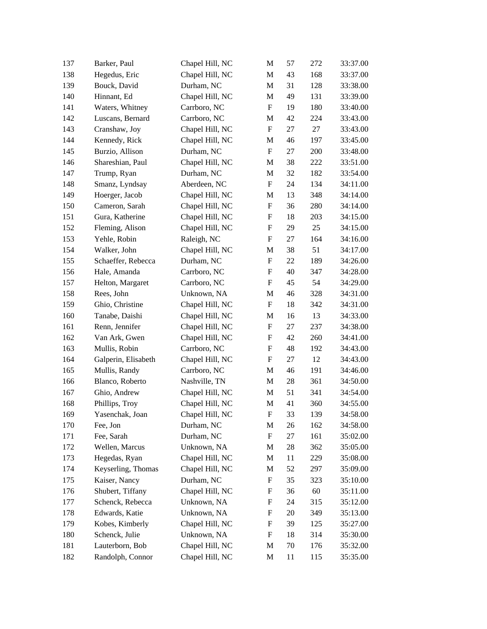| 137 | Barker, Paul        | Chapel Hill, NC | M                         | 57 | 272 | 33:37.00 |
|-----|---------------------|-----------------|---------------------------|----|-----|----------|
| 138 | Hegedus, Eric       | Chapel Hill, NC | M                         | 43 | 168 | 33:37.00 |
| 139 | Bouck, David        | Durham, NC      | M                         | 31 | 128 | 33:38.00 |
| 140 | Hinnant, Ed         | Chapel Hill, NC | M                         | 49 | 131 | 33:39.00 |
| 141 | Waters, Whitney     | Carrboro, NC    | F                         | 19 | 180 | 33:40.00 |
| 142 | Luscans, Bernard    | Carrboro, NC    | M                         | 42 | 224 | 33:43.00 |
| 143 | Cranshaw, Joy       | Chapel Hill, NC | $\boldsymbol{\mathrm{F}}$ | 27 | 27  | 33:43.00 |
| 144 | Kennedy, Rick       | Chapel Hill, NC | M                         | 46 | 197 | 33:45.00 |
| 145 | Burzio, Allison     | Durham, NC      | $\boldsymbol{\mathrm{F}}$ | 27 | 200 | 33:48.00 |
| 146 | Shareshian, Paul    | Chapel Hill, NC | M                         | 38 | 222 | 33:51.00 |
| 147 | Trump, Ryan         | Durham, NC      | M                         | 32 | 182 | 33:54.00 |
| 148 | Smanz, Lyndsay      | Aberdeen, NC    | $\boldsymbol{\mathrm{F}}$ | 24 | 134 | 34:11.00 |
| 149 | Hoerger, Jacob      | Chapel Hill, NC | M                         | 13 | 348 | 34:14.00 |
| 150 | Cameron, Sarah      | Chapel Hill, NC | $\boldsymbol{\mathrm{F}}$ | 36 | 280 | 34:14.00 |
| 151 | Gura, Katherine     | Chapel Hill, NC | F                         | 18 | 203 | 34:15.00 |
| 152 | Fleming, Alison     | Chapel Hill, NC | F                         | 29 | 25  | 34:15.00 |
| 153 | Yehle, Robin        | Raleigh, NC     | F                         | 27 | 164 | 34:16.00 |
| 154 | Walker, John        | Chapel Hill, NC | M                         | 38 | 51  | 34:17.00 |
| 155 | Schaeffer, Rebecca  | Durham, NC      | $\boldsymbol{\mathrm{F}}$ | 22 | 189 | 34:26.00 |
| 156 | Hale, Amanda        | Carrboro, NC    | $\boldsymbol{\mathrm{F}}$ | 40 | 347 | 34:28.00 |
| 157 | Helton, Margaret    | Carrboro, NC    | $\boldsymbol{\mathrm{F}}$ | 45 | 54  | 34:29.00 |
| 158 | Rees, John          | Unknown, NA     | M                         | 46 | 328 | 34:31.00 |
| 159 | Ghio, Christine     | Chapel Hill, NC | F                         | 18 | 342 | 34:31.00 |
| 160 | Tanabe, Daishi      | Chapel Hill, NC | M                         | 16 | 13  | 34:33.00 |
| 161 | Renn, Jennifer      | Chapel Hill, NC | F                         | 27 | 237 | 34:38.00 |
| 162 | Van Ark, Gwen       | Chapel Hill, NC | F                         | 42 | 260 | 34:41.00 |
| 163 | Mullis, Robin       | Carrboro, NC    | $\boldsymbol{\mathrm{F}}$ | 48 | 192 | 34:43.00 |
| 164 | Galperin, Elisabeth | Chapel Hill, NC | F                         | 27 | 12  | 34:43.00 |
| 165 | Mullis, Randy       | Carrboro, NC    | M                         | 46 | 191 | 34:46.00 |
| 166 | Blanco, Roberto     | Nashville, TN   | M                         | 28 | 361 | 34:50.00 |
| 167 | Ghio, Andrew        | Chapel Hill, NC | M                         | 51 | 341 | 34:54.00 |
| 168 | Phillips, Troy      | Chapel Hill, NC | M                         | 41 | 360 | 34:55.00 |
| 169 | Yasenchak, Joan     | Chapel Hill, NC | F                         | 33 | 139 | 34:58.00 |
| 170 | Fee, Jon            | Durham, NC      | M                         | 26 | 162 | 34:58.00 |
| 171 | Fee, Sarah          | Durham, NC      | F                         | 27 | 161 | 35:02.00 |
| 172 | Wellen, Marcus      | Unknown, NA     | M                         | 28 | 362 | 35:05.00 |
| 173 | Hegedas, Ryan       | Chapel Hill, NC | M                         | 11 | 229 | 35:08.00 |
| 174 | Keyserling, Thomas  | Chapel Hill, NC | M                         | 52 | 297 | 35:09.00 |
| 175 | Kaiser, Nancy       | Durham, NC      | F                         | 35 | 323 | 35:10.00 |
| 176 | Shubert, Tiffany    | Chapel Hill, NC | F                         | 36 | 60  | 35:11.00 |
| 177 | Schenck, Rebecca    | Unknown, NA     | F                         | 24 | 315 | 35:12.00 |
| 178 | Edwards, Katie      | Unknown, NA     | F                         | 20 | 349 | 35:13.00 |
| 179 | Kobes, Kimberly     | Chapel Hill, NC | F                         | 39 | 125 | 35:27.00 |
| 180 | Schenck, Julie      | Unknown, NA     | F                         | 18 | 314 | 35:30.00 |
| 181 | Lauterborn, Bob     | Chapel Hill, NC | M                         | 70 | 176 | 35:32.00 |
| 182 | Randolph, Connor    | Chapel Hill, NC | M                         | 11 | 115 | 35:35.00 |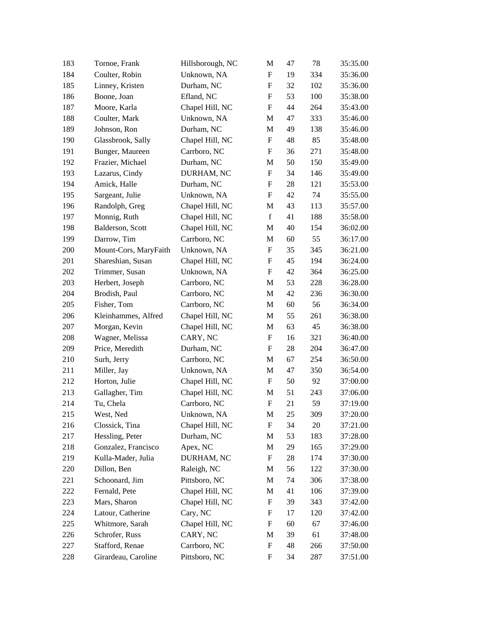| 183 | Tornoe, Frank         | Hillsborough, NC | M                         | 47 | 78  | 35:35.00 |
|-----|-----------------------|------------------|---------------------------|----|-----|----------|
| 184 | Coulter, Robin        | Unknown, NA      | F                         | 19 | 334 | 35:36.00 |
| 185 | Linney, Kristen       | Durham, NC       | F                         | 32 | 102 | 35:36.00 |
| 186 | Boone, Joan           | Efland, NC       | $\mathbf F$               | 53 | 100 | 35:38.00 |
| 187 | Moore, Karla          | Chapel Hill, NC  | F                         | 44 | 264 | 35:43.00 |
| 188 | Coulter, Mark         | Unknown, NA      | M                         | 47 | 333 | 35:46.00 |
| 189 | Johnson, Ron          | Durham, NC       | M                         | 49 | 138 | 35:46.00 |
| 190 | Glassbrook, Sally     | Chapel Hill, NC  | F                         | 48 | 85  | 35:48.00 |
| 191 | Bunger, Maureen       | Carrboro, NC     | F                         | 36 | 271 | 35:48.00 |
| 192 | Frazier, Michael      | Durham, NC       | M                         | 50 | 150 | 35:49.00 |
| 193 | Lazarus, Cindy        | DURHAM, NC       | $\boldsymbol{\mathrm{F}}$ | 34 | 146 | 35:49.00 |
| 194 | Amick, Halle          | Durham, NC       | F                         | 28 | 121 | 35:53.00 |
| 195 | Sargeant, Julie       | Unknown, NA      | F                         | 42 | 74  | 35:55.00 |
| 196 | Randolph, Greg        | Chapel Hill, NC  | M                         | 43 | 113 | 35:57.00 |
| 197 | Monnig, Ruth          | Chapel Hill, NC  | $\mathbf f$               | 41 | 188 | 35:58.00 |
| 198 | Balderson, Scott      | Chapel Hill, NC  | M                         | 40 | 154 | 36:02.00 |
| 199 | Darrow, Tim           | Carrboro, NC     | M                         | 60 | 55  | 36:17.00 |
| 200 | Mount-Cors, MaryFaith | Unknown, NA      | F                         | 35 | 345 | 36:21.00 |
| 201 | Shareshian, Susan     | Chapel Hill, NC  | F                         | 45 | 194 | 36:24.00 |
| 202 | Trimmer, Susan        | Unknown, NA      | F                         | 42 | 364 | 36:25.00 |
| 203 | Herbert, Joseph       | Carrboro, NC     | M                         | 53 | 228 | 36:28.00 |
| 204 | Brodish, Paul         | Carrboro, NC     | M                         | 42 | 236 | 36:30.00 |
| 205 | Fisher, Tom           | Carrboro, NC     | M                         | 60 | 56  | 36:34.00 |
| 206 | Kleinhammes, Alfred   | Chapel Hill, NC  | M                         | 55 | 261 | 36:38.00 |
| 207 | Morgan, Kevin         | Chapel Hill, NC  | M                         | 63 | 45  | 36:38.00 |
| 208 | Wagner, Melissa       | CARY, NC         | F                         | 16 | 321 | 36:40.00 |
| 209 | Price, Meredith       | Durham, NC       | F                         | 28 | 204 | 36:47.00 |
| 210 | Surh, Jerry           | Carrboro, NC     | M                         | 67 | 254 | 36:50.00 |
| 211 | Miller, Jay           | Unknown, NA      | M                         | 47 | 350 | 36:54.00 |
| 212 | Horton, Julie         | Chapel Hill, NC  | F                         | 50 | 92  | 37:00.00 |
| 213 | Gallagher, Tim        | Chapel Hill, NC  | M                         | 51 | 243 | 37:06.00 |
| 214 | Tu, Chela             | Carrboro, NC     | $\boldsymbol{\mathrm{F}}$ | 21 | 59  | 37:19.00 |
| 215 | West, Ned             | Unknown, NA      | M                         | 25 | 309 | 37:20.00 |
| 216 | Clossick, Tina        | Chapel Hill, NC  | F                         | 34 | 20  | 37:21.00 |
| 217 | Hessling, Peter       | Durham, NC       | M                         | 53 | 183 | 37:28.00 |
| 218 | Gonzalez, Francisco   | Apex, NC         | M                         | 29 | 165 | 37:29.00 |
| 219 | Kulla-Mader, Julia    | DURHAM, NC       | F                         | 28 | 174 | 37:30.00 |
| 220 | Dillon, Ben           | Raleigh, NC      | M                         | 56 | 122 | 37:30.00 |
| 221 | Schoonard, Jim        | Pittsboro, NC    | M                         | 74 | 306 | 37:38.00 |
| 222 | Fernald, Pete         | Chapel Hill, NC  | M                         | 41 | 106 | 37:39.00 |
| 223 | Mars, Sharon          | Chapel Hill, NC  | F                         | 39 | 343 | 37:42.00 |
| 224 | Latour, Catherine     | Cary, NC         | F                         | 17 | 120 | 37:42.00 |
| 225 | Whitmore, Sarah       | Chapel Hill, NC  | F                         | 60 | 67  | 37:46.00 |
| 226 | Schrofer, Russ        | CARY, NC         | M                         | 39 | 61  | 37:48.00 |
| 227 | Stafford, Renae       | Carrboro, NC     | F                         | 48 | 266 | 37:50.00 |
| 228 | Girardeau, Caroline   | Pittsboro, NC    | F                         | 34 | 287 | 37:51.00 |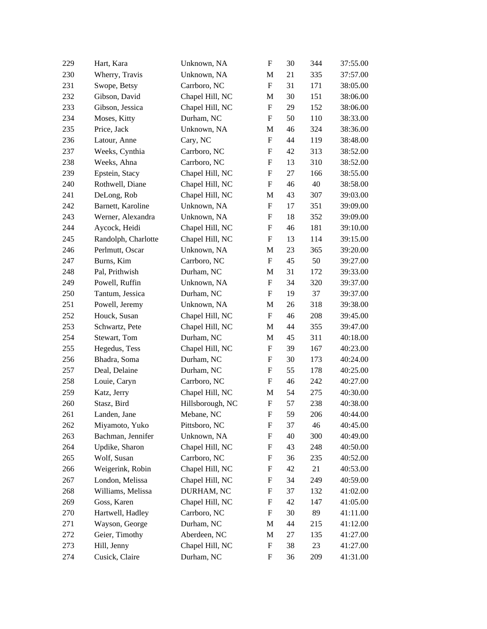| 229 | Hart, Kara          | Unknown, NA      | $\boldsymbol{\mathrm{F}}$ | 30 | 344 | 37:55.00 |
|-----|---------------------|------------------|---------------------------|----|-----|----------|
| 230 | Wherry, Travis      | Unknown, NA      | M                         | 21 | 335 | 37:57.00 |
| 231 | Swope, Betsy        | Carrboro, NC     | F                         | 31 | 171 | 38:05.00 |
| 232 | Gibson, David       | Chapel Hill, NC  | M                         | 30 | 151 | 38:06.00 |
| 233 | Gibson, Jessica     | Chapel Hill, NC  | F                         | 29 | 152 | 38:06.00 |
| 234 | Moses, Kitty        | Durham, NC       | F                         | 50 | 110 | 38:33.00 |
| 235 | Price, Jack         | Unknown, NA      | M                         | 46 | 324 | 38:36.00 |
| 236 | Latour, Anne        | Cary, NC         | F                         | 44 | 119 | 38:48.00 |
| 237 | Weeks, Cynthia      | Carrboro, NC     | $\boldsymbol{\mathrm{F}}$ | 42 | 313 | 38:52.00 |
| 238 | Weeks, Ahna         | Carrboro, NC     | F                         | 13 | 310 | 38:52.00 |
| 239 | Epstein, Stacy      | Chapel Hill, NC  | F                         | 27 | 166 | 38:55.00 |
| 240 | Rothwell, Diane     | Chapel Hill, NC  | F                         | 46 | 40  | 38:58.00 |
| 241 | DeLong, Rob         | Chapel Hill, NC  | M                         | 43 | 307 | 39:03.00 |
| 242 | Barnett, Karoline   | Unknown, NA      | F                         | 17 | 351 | 39:09.00 |
| 243 | Werner, Alexandra   | Unknown, NA      | F                         | 18 | 352 | 39:09.00 |
| 244 | Aycock, Heidi       | Chapel Hill, NC  | F                         | 46 | 181 | 39:10.00 |
| 245 | Randolph, Charlotte | Chapel Hill, NC  | F                         | 13 | 114 | 39:15.00 |
| 246 | Perlmutt, Oscar     | Unknown, NA      | M                         | 23 | 365 | 39:20.00 |
| 247 | Burns, Kim          | Carrboro, NC     | $\boldsymbol{\mathrm{F}}$ | 45 | 50  | 39:27.00 |
| 248 | Pal, Prithwish      | Durham, NC       | M                         | 31 | 172 | 39:33.00 |
| 249 | Powell, Ruffin      | Unknown, NA      | $\boldsymbol{\mathrm{F}}$ | 34 | 320 | 39:37.00 |
| 250 | Tantum, Jessica     | Durham, NC       | F                         | 19 | 37  | 39:37.00 |
| 251 | Powell, Jeremy      | Unknown, NA      | M                         | 26 | 318 | 39:38.00 |
| 252 | Houck, Susan        | Chapel Hill, NC  | $\boldsymbol{\mathrm{F}}$ | 46 | 208 | 39:45.00 |
| 253 | Schwartz, Pete      | Chapel Hill, NC  | M                         | 44 | 355 | 39:47.00 |
| 254 | Stewart, Tom        | Durham, NC       | M                         | 45 | 311 | 40:18.00 |
| 255 | Hegedus, Tess       | Chapel Hill, NC  | F                         | 39 | 167 | 40:23.00 |
| 256 | Bhadra, Soma        | Durham, NC       | F                         | 30 | 173 | 40:24.00 |
| 257 | Deal, Delaine       | Durham, NC       | F                         | 55 | 178 | 40:25.00 |
| 258 | Louie, Caryn        | Carrboro, NC     | F                         | 46 | 242 | 40:27.00 |
| 259 | Katz, Jerry         | Chapel Hill, NC  | M                         | 54 | 275 | 40:30.00 |
| 260 | Stasz, Bird         | Hillsborough, NC | F                         | 57 | 238 | 40:38.00 |
| 261 | Landen, Jane        | Mebane, NC       | F                         | 59 | 206 | 40:44.00 |
| 262 | Miyamoto, Yuko      | Pittsboro, NC    | F                         | 37 | 46  | 40:45.00 |
| 263 | Bachman, Jennifer   | Unknown, NA      | F                         | 40 | 300 | 40:49.00 |
| 264 | Updike, Sharon      | Chapel Hill, NC  | F                         | 43 | 248 | 40:50.00 |
| 265 | Wolf, Susan         | Carrboro, NC     | F                         | 36 | 235 | 40:52.00 |
| 266 | Weigerink, Robin    | Chapel Hill, NC  | F                         | 42 | 21  | 40:53.00 |
| 267 | London, Melissa     | Chapel Hill, NC  | F                         | 34 | 249 | 40:59.00 |
| 268 | Williams, Melissa   | DURHAM, NC       | F                         | 37 | 132 | 41:02.00 |
| 269 | Goss, Karen         | Chapel Hill, NC  | F                         | 42 | 147 | 41:05.00 |
| 270 | Hartwell, Hadley    | Carrboro, NC     | F                         | 30 | 89  | 41:11.00 |
| 271 | Wayson, George      | Durham, NC       | M                         | 44 | 215 | 41:12.00 |
| 272 | Geier, Timothy      | Aberdeen, NC     | M                         | 27 | 135 | 41:27.00 |
| 273 | Hill, Jenny         | Chapel Hill, NC  | F                         | 38 | 23  | 41:27.00 |
| 274 | Cusick, Claire      | Durham, NC       | F                         | 36 | 209 | 41:31.00 |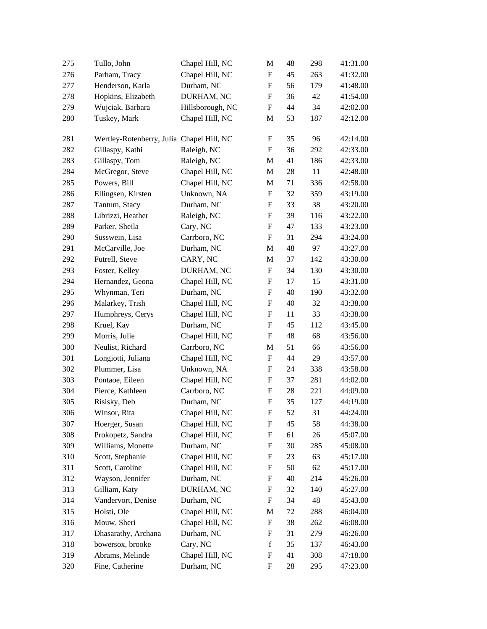| 275 | Tullo, John                               | Chapel Hill, NC  | M                         | 48 | 298 | 41:31.00 |
|-----|-------------------------------------------|------------------|---------------------------|----|-----|----------|
| 276 | Parham, Tracy                             | Chapel Hill, NC  | $\boldsymbol{\mathrm{F}}$ | 45 | 263 | 41:32.00 |
| 277 | Henderson, Karla                          | Durham, NC       | F                         | 56 | 179 | 41:48.00 |
| 278 | Hopkins, Elizabeth                        | DURHAM, NC       | F                         | 36 | 42  | 41:54.00 |
| 279 | Wujciak, Barbara                          | Hillsborough, NC | F                         | 44 | 34  | 42:02.00 |
| 280 | Tuskey, Mark                              | Chapel Hill, NC  | M                         | 53 | 187 | 42:12.00 |
|     |                                           |                  |                           |    |     | 42:14.00 |
| 281 | Wertley-Rotenberry, Julia Chapel Hill, NC |                  | F                         | 35 | 96  |          |
| 282 | Gillaspy, Kathi                           | Raleigh, NC      | F                         | 36 | 292 | 42:33.00 |
| 283 | Gillaspy, Tom                             | Raleigh, NC      | M                         | 41 | 186 | 42:33.00 |
| 284 | McGregor, Steve                           | Chapel Hill, NC  | M                         | 28 | 11  | 42:48.00 |
| 285 | Powers, Bill                              | Chapel Hill, NC  | M                         | 71 | 336 | 42:58.00 |
| 286 | Ellingsen, Kirsten                        | Unknown, NA      | F                         | 32 | 359 | 43:19.00 |
| 287 | Tantum, Stacy                             | Durham, NC       | F                         | 33 | 38  | 43:20.00 |
| 288 | Librizzi, Heather                         | Raleigh, NC      | F                         | 39 | 116 | 43:22.00 |
| 289 | Parker, Sheila                            | Cary, NC         | F                         | 47 | 133 | 43:23.00 |
| 290 | Susswein, Lisa                            | Carrboro, NC     | F                         | 31 | 294 | 43:24.00 |
| 291 | McCarville, Joe                           | Durham, NC       | M                         | 48 | 97  | 43:27.00 |
| 292 | Futrell, Steve                            | CARY, NC         | M                         | 37 | 142 | 43:30.00 |
| 293 | Foster, Kelley                            | DURHAM, NC       | F                         | 34 | 130 | 43:30.00 |
| 294 | Hernandez, Geona                          | Chapel Hill, NC  | $\boldsymbol{\mathrm{F}}$ | 17 | 15  | 43:31.00 |
| 295 | Whynman, Teri                             | Durham, NC       | F                         | 40 | 190 | 43:32.00 |
| 296 | Malarkey, Trish                           | Chapel Hill, NC  | F                         | 40 | 32  | 43:38.00 |
| 297 | Humphreys, Cerys                          | Chapel Hill, NC  | F                         | 11 | 33  | 43:38.00 |
| 298 | Kruel, Kay                                | Durham, NC       | F                         | 45 | 112 | 43:45.00 |
| 299 | Morris, Julie                             | Chapel Hill, NC  | F                         | 48 | 68  | 43:56.00 |
| 300 | Neulist, Richard                          | Carrboro, NC     | M                         | 51 | 66  | 43:56.00 |
| 301 | Longiotti, Juliana                        | Chapel Hill, NC  | F                         | 44 | 29  | 43:57.00 |
| 302 | Plummer, Lisa                             | Unknown, NA      | F                         | 24 | 338 | 43:58.00 |
| 303 | Pontaoe, Eileen                           | Chapel Hill, NC  | F                         | 37 | 281 | 44:02.00 |
| 304 | Pierce, Kathleen                          | Carrboro, NC     | F                         | 28 | 221 | 44:09.00 |
| 305 | Risisky, Deb                              | Durham, NC       | F                         | 35 | 127 | 44:19.00 |
| 306 | Winsor, Rita                              | Chapel Hill, NC  | F                         | 52 | 31  | 44:24.00 |
| 307 | Hoerger, Susan                            | Chapel Hill, NC  | F                         | 45 | 58  | 44:38.00 |
| 308 | Prokopetz, Sandra                         | Chapel Hill, NC  | F                         | 61 | 26  | 45:07.00 |
| 309 | Williams, Monette                         | Durham, NC       | F                         | 30 | 285 | 45:08.00 |
| 310 | Scott, Stephanie                          | Chapel Hill, NC  | F                         | 23 | 63  | 45:17.00 |
| 311 | Scott, Caroline                           | Chapel Hill, NC  | F                         | 50 | 62  | 45:17.00 |
| 312 | Wayson, Jennifer                          | Durham, NC       | F                         | 40 | 214 | 45:26.00 |
| 313 | Gilliam, Katy                             | DURHAM, NC       | F                         | 32 | 140 | 45:27.00 |
| 314 | Vandervort, Denise                        | Durham, NC       | F                         | 34 | 48  | 45:43.00 |
| 315 | Holsti, Ole                               | Chapel Hill, NC  | M                         | 72 | 288 | 46:04.00 |
| 316 | Mouw, Sheri                               | Chapel Hill, NC  | F                         | 38 | 262 | 46:08.00 |
| 317 | Dhasarathy, Archana                       | Durham, NC       | F                         | 31 | 279 | 46:26.00 |
| 318 | bowersox, brooke                          | Cary, NC         | $\mathbf f$               | 35 | 137 | 46:43.00 |
| 319 | Abrams, Melinde                           | Chapel Hill, NC  | F                         | 41 | 308 | 47:18.00 |
| 320 | Fine, Catherine                           | Durham, NC       | F                         | 28 | 295 | 47:23.00 |